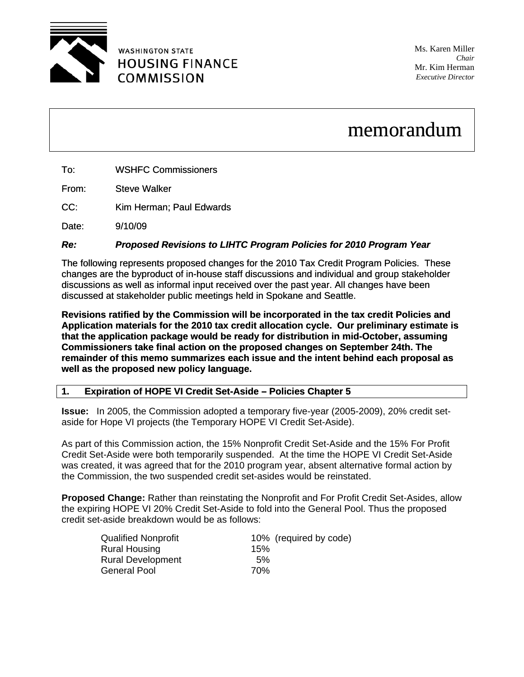

**WASHINGTON STATE HOUSING FINANCE COMMISSION** 

Ms. Karen Miller *Chair* Mr. Kim Herman *Executive Director*

# memorandum

From: Steve Walker

CC: Kim Herman; Paul Edwards

Date: 9/10/09

# *Re: Proposed Revisions to LIHTC Program Policies for 2010 Program Year*

The following represents proposed changes for the 2010 Tax Credit Program Policies. These changes are the byproduct of in-house staff discussions and individual and group stakeholder discussions as well as informal input received over the past year. All changes have been discussed at stakeholder public meetings held in Spokane and Seattle.

**Revisions ratified by the Commission will be incorporated in the tax credit Policies and Application materials for the 2010 tax credit allocation cycle. Our preliminary estimate is that the application package would be ready for distribution in mid-October, assuming Commissioners take final action on the proposed changes on September 24th. The remainder of this memo summarizes each issue and the intent behind each proposal as well as the proposed new policy language.** 

## **1. Expiration of HOPE VI Credit Set-Aside – Policies Chapter 5**

**Issue:** In 2005, the Commission adopted a temporary five-year (2005-2009), 20% credit setaside for Hope VI projects (the Temporary HOPE VI Credit Set-Aside).

As part of this Commission action, the 15% Nonprofit Credit Set-Aside and the 15% For Profit Credit Set-Aside were both temporarily suspended. At the time the HOPE VI Credit Set-Aside was created, it was agreed that for the 2010 program year, absent alternative formal action by the Commission, the two suspended credit set-asides would be reinstated.

**Proposed Change:** Rather than reinstating the Nonprofit and For Profit Credit Set-Asides, allow the expiring HOPE VI 20% Credit Set-Aside to fold into the General Pool. Thus the proposed credit set-aside breakdown would be as follows:

| <b>Qualified Nonprofit</b> |     | 10% (required by code) |
|----------------------------|-----|------------------------|
| <b>Rural Housing</b>       | 15% |                        |
| <b>Rural Development</b>   | 5%  |                        |
| <b>General Pool</b>        | 70% |                        |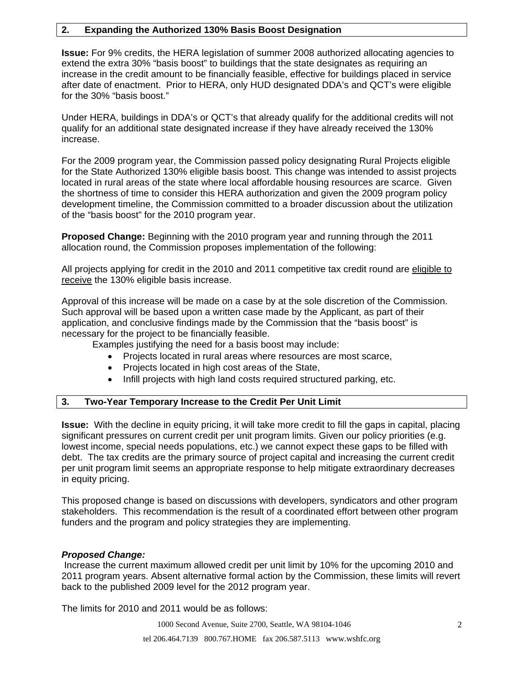## **2. Expanding the Authorized 130% Basis Boost Designation**

**Issue:** For 9% credits, the HERA legislation of summer 2008 authorized allocating agencies to extend the extra 30% "basis boost" to buildings that the state designates as requiring an increase in the credit amount to be financially feasible, effective for buildings placed in service after date of enactment. Prior to HERA, only HUD designated DDA's and QCT's were eligible for the 30% "basis boost."

Under HERA, buildings in DDA's or QCT's that already qualify for the additional credits will not qualify for an additional state designated increase if they have already received the 130% increase.

For the 2009 program year, the Commission passed policy designating Rural Projects eligible for the State Authorized 130% eligible basis boost. This change was intended to assist projects located in rural areas of the state where local affordable housing resources are scarce. Given the shortness of time to consider this HERA authorization and given the 2009 program policy development timeline, the Commission committed to a broader discussion about the utilization of the "basis boost" for the 2010 program year.

**Proposed Change:** Beginning with the 2010 program year and running through the 2011 allocation round, the Commission proposes implementation of the following:

All projects applying for credit in the 2010 and 2011 competitive tax credit round are eligible to receive the 130% eligible basis increase.

Approval of this increase will be made on a case by at the sole discretion of the Commission. Such approval will be based upon a written case made by the Applicant, as part of their application, and conclusive findings made by the Commission that the "basis boost" is necessary for the project to be financially feasible.

Examples justifying the need for a basis boost may include:

- Projects located in rural areas where resources are most scarce,
- Projects located in high cost areas of the State,
- Infill projects with high land costs required structured parking, etc.

#### **3. Two-Year Temporary Increase to the Credit Per Unit Limit**

**Issue:** With the decline in equity pricing, it will take more credit to fill the gaps in capital, placing significant pressures on current credit per unit program limits. Given our policy priorities (e.g. lowest income, special needs populations, etc.) we cannot expect these gaps to be filled with debt. The tax credits are the primary source of project capital and increasing the current credit per unit program limit seems an appropriate response to help mitigate extraordinary decreases in equity pricing.

This proposed change is based on discussions with developers, syndicators and other program stakeholders. This recommendation is the result of a coordinated effort between other program funders and the program and policy strategies they are implementing.

#### *Proposed Change:*

Increase the current maximum allowed credit per unit limit by 10% for the upcoming 2010 and 2011 program years. Absent alternative formal action by the Commission, these limits will revert back to the published 2009 level for the 2012 program year.

The limits for 2010 and 2011 would be as follows: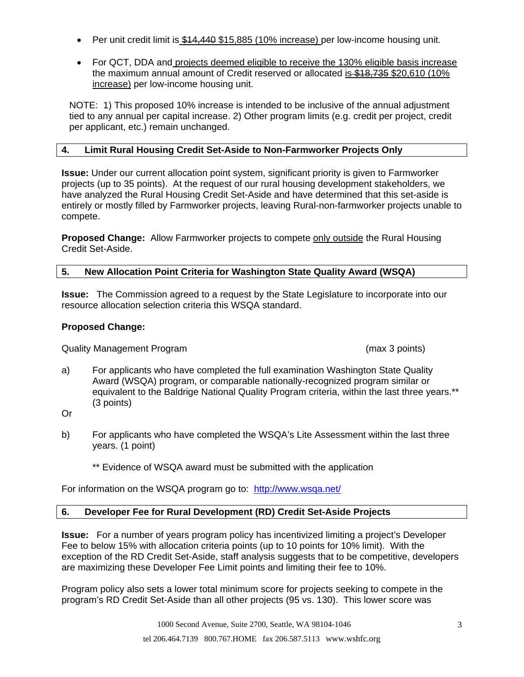- Per unit credit limit is \$14,440 \$15,885 (10% increase) per low-income housing unit.
- For QCT, DDA and projects deemed eligible to receive the 130% eligible basis increase the maximum annual amount of Credit reserved or allocated is \$18,735 \$20,610 (10%) increase) per low-income housing unit.

NOTE: 1) This proposed 10% increase is intended to be inclusive of the annual adjustment tied to any annual per capital increase. 2) Other program limits (e.g. credit per project, credit per applicant, etc.) remain unchanged.

## **4. Limit Rural Housing Credit Set-Aside to Non-Farmworker Projects Only**

**Issue:** Under our current allocation point system, significant priority is given to Farmworker projects (up to 35 points). At the request of our rural housing development stakeholders, we have analyzed the Rural Housing Credit Set-Aside and have determined that this set-aside is entirely or mostly filled by Farmworker projects, leaving Rural-non-farmworker projects unable to compete.

**Proposed Change:** Allow Farmworker projects to compete only outside the Rural Housing Credit Set-Aside.

# **5. New Allocation Point Criteria for Washington State Quality Award (WSQA)**

**Issue:** The Commission agreed to a request by the State Legislature to incorporate into our resource allocation selection criteria this WSQA standard.

# **Proposed Change:**

Quality Management Program (max 3 points)

a) For applicants who have completed the full examination Washington State Quality Award (WSQA) program, or comparable nationally-recognized program similar or equivalent to the Baldrige National Quality Program criteria, within the last three years.\*\* (3 points)

Or

- b) For applicants who have completed the WSQA's Lite Assessment within the last three years. (1 point)
	- \*\* Evidence of WSQA award must be submitted with the application

For information on the WSQA program go to: <http://www.wsqa.net/>

## **6. Developer Fee for Rural Development (RD) Credit Set-Aside Projects**

**Issue:** For a number of years program policy has incentivized limiting a project's Developer Fee to below 15% with allocation criteria points (up to 10 points for 10% limit). With the exception of the RD Credit Set-Aside, staff analysis suggests that to be competitive, developers are maximizing these Developer Fee Limit points and limiting their fee to 10%.

Program policy also sets a lower total minimum score for projects seeking to compete in the program's RD Credit Set-Aside than all other projects (95 vs. 130). This lower score was